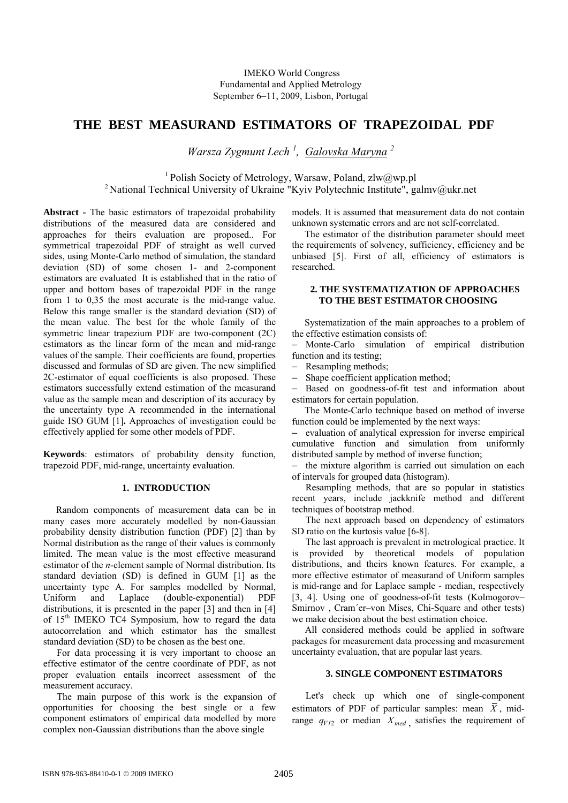# **THE BEST MEASURAND ESTIMATORS OF TRAPEZOIDAL PDF**

*Warsza Zygmunt Lech <sup>1</sup> , Galovska Maryna <sup>2</sup>* 

<sup>1</sup> Polish Society of Metrology, Warsaw, Poland, zlw@wp.pl<br><sup>2</sup> National Technical University of Ukraine "Kyiv Polytechnic Institute", galmv@ukr.net

**Abstract -** The basic estimators of trapezoidal probability distributions of the measured data are considered and approaches for theirs evaluation are proposed.. For symmetrical trapezoidal PDF of straight as well curved sides, using Monte-Carlo method of simulation, the standard deviation (SD) of some chosen 1- and 2-component estimators are evaluated It is established that in the ratio of upper and bottom bases of trapezoidal PDF in the range from 1 to 0,35 the most accurate is the mid-range value. Below this range smaller is the standard deviation (SD) of the mean value. The best for the whole family of the symmetric linear trapezium PDF are two-component (2C) estimators as the linear form of the mean and mid-range values of the sample. Their coefficients are found, properties discussed and formulas of SD are given. The new simplified 2C-estimator of equal coefficients is also proposed. These estimators successfully extend estimation of the measurand value as the sample mean and description of its accuracy by the uncertainty type A recommended in the international guide ISO GUM [1]**.** Approaches of investigation could be effectively applied for some other models of PDF.

**Keywords**: estimators of probability density function, trapezoid PDF, mid-range, uncertainty evaluation.

# **1. INTRODUCTION**

Random components of measurement data can be in many cases more accurately modelled by non-Gaussian probability density distribution function (PDF) [2] than by Normal distribution as the range of their values is commonly limited. The mean value is the most effective measurand estimator of the *n-*element sample of Normal distribution. Its standard deviation (SD) is defined in GUM [1] as the uncertainty type A. For samples modelled by Normal, Uniform and Laplace (double-exponential) PDF distributions, it is presented in the paper [3] and then in [4] of 15<sup>th</sup> IMEKO TC4 Symposium, how to regard the data autocorrelation and which estimator has the smallest standard deviation (SD) to be chosen as the best one.

For data processing it is very important to choose an effective estimator of the centre coordinate of PDF, as not proper evaluation entails incorrect assessment of the measurement accuracy.

The main purpose of this work is the expansion of opportunities for choosing the best single or a few component estimators of empirical data modelled by more complex non-Gaussian distributions than the above single

models. It is assumed that measurement data do not contain unknown systematic errors and are not self-correlated.

The estimator of the distribution parameter should meet the requirements of solvency, sufficiency, efficiency and be unbiased [5]. First of all, efficiency of estimators is researched.

# **2. THE SYSTEMATIZATION OF APPROACHES TO THE BEST ESTIMATOR CHOOSING**

Systematization of the main approaches to a problem of the effective estimation consists of:

– Monte-Carlo simulation of empirical distribution function and its testing;

Resampling methods;

– Shape coefficient application method;

– Based on goodness-of-fit test and information about estimators for certain population.

The Monte-Carlo technique based on method of inverse function could be implemented by the next ways:

– evaluation of analytical expression for inverse empirical cumulative function and simulation from uniformly distributed sample by method of inverse function;

– the mixture algorithm is carried out simulation on each of intervals for grouped data (histogram).

Resampling methods, that are so popular in statistics recent years, include jackknife method and different techniques of bootstrap method.

The next approach based on dependency of estimators SD ratio on the kurtosis value [6-8].

The last approach is prevalent in metrological practice. It is provided by theoretical models of population distributions, and theirs known features. For example, a more effective estimator of measurand of Uniform samples is mid-range and for Laplace sample - median, respectively [3, 4]. Using one of goodness-of-fit tests (Kolmogorov– Smirnov , Cram´er–von Mises, Chi-Square and other tests) we make decision about the best estimation choice.

All considered methods could be applied in software packages for measurement data processing and measurement uncertainty evaluation, that are popular last years.

### **3. SINGLE COMPONENT ESTIMATORS**

Let's check up which one of single-component estimators of PDF of particular samples: mean  $\overline{X}$ , midrange  $q_{V/2}$  or median  $X_{med}$ , satisfies the requirement of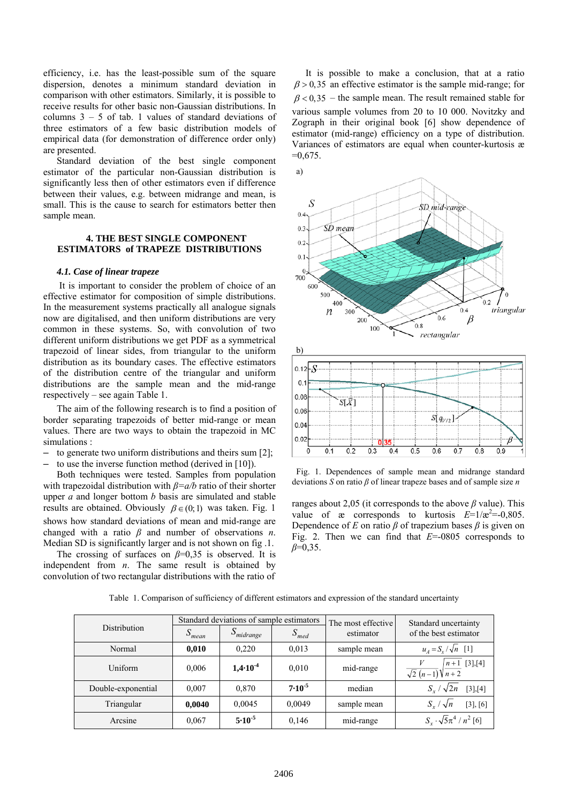efficiency, i.e. has the least-possible sum of the square dispersion, denotes a minimum standard deviation in comparison with other estimators. Similarly, it is possible to receive results for other basic non-Gaussian distributions. In columns  $3 - 5$  of tab. 1 values of standard deviations of three estimators of a few basic distribution models of empirical data (for demonstration of difference order only) are presented.

Standard deviation of the best single component estimator of the particular non-Gaussian distribution is significantly less then of other estimators even if difference between their values, e.g. between midrange and mean, is small. This is the cause to search for estimators better then sample mean.

# **4. THE BEST SINGLE COMPONENT ESTIMATORS of TRAPEZE DISTRIBUTIONS**

#### *4.1. Case of linear trapeze*

It is important to consider the problem of choice of an effective estimator for composition of simple distributions. In the measurement systems practically all analogue signals now are digitalised, and then uniform distributions are very common in these systems. So, with convolution of two different uniform distributions we get PDF as a symmetrical trapezoid of linear sides, from triangular to the uniform distribution as its boundary cases. The effective estimators of the distribution centre of the triangular and uniform distributions are the sample mean and the mid-range respectively – see again Table 1.

The aim of the following research is to find a position of border separating trapezoids of better mid-range or mean values. There are two ways to obtain the trapezoid in MC simulations :

- to generate two uniform distributions and theirs sum [2];
- to use the inverse function method (derived in [10]).

Both techniques were tested. Samples from population with trapezoidal distribution with *β=a/b* ratio of their shorter upper *a* and longer bottom *b* basis are simulated and stable results are obtained. Obviously  $\beta \in (0,1)$  was taken. Fig. 1 shows how standard deviations of mean and mid-range are changed with a ratio *β* and number of observations *n*. Median SD is significantly larger and is not shown on fig. 1.

The crossing of surfaces on  $\beta=0.35$  is observed. It is independent from *n*. The same result is obtained by convolution of two rectangular distributions with the ratio of

It is possible to make a conclusion, that at a ratio  $\beta$  > 0,35 an effective estimator is the sample mid-range; for  $\beta$  < 0,35 – the sample mean. The result remained stable for various sample volumes from 20 to 10 000. Novitzky and Zograph in their original book [6] show dependence of estimator (mid-range) efficiency on a type of distribution. Variances of estimators are equal when counter-kurtosis æ  $=0.675$ .



Fig. 1. Dependences of sample mean and midrange standard deviations *S* on ratio *β* of linear trapeze bases and of sample size *n*

ranges about 2,05 (it corresponds to the above *β* value). This value of  $\infty$  corresponds to kurtosis  $E=1/\mathcal{E}^2=0,805$ . Dependence of *E* on ratio  $\beta$  of trapezium bases  $\beta$  is given on Fig. 2. Then we can find that *E*=-0805 corresponds to *β*=0,35.

|                    | Standard deviations of sample estimators |                |             | The most effective | Standard uncertainty                        |
|--------------------|------------------------------------------|----------------|-------------|--------------------|---------------------------------------------|
| Distribution       | S<br>mean                                | $S_{midrange}$ | $S_{med}$   | estimator          | of the best estimator                       |
| Normal             | 0,010                                    | 0,220          | 0,013       | sample mean        | $u_{A} = S_{r} / \sqrt{n}$ [1]              |
| Uniform            | 0.006                                    | $1,4.10^{-4}$  | 0,010       | mid-range          | $n+1$ [3], [4]<br>$\sqrt{2(n-1)}\sqrt{n+2}$ |
| Double-exponential | 0.007                                    | 0.870          | $7.10^{-5}$ | median             | $S_r / \sqrt{2n}$<br>[3],[4]                |
| Triangular         | 0,0040                                   | 0,0045         | 0,0049      | sample mean        | $S_r / \sqrt{n}$<br>$[3]$ , $[6]$           |
| Arcsine            | 0,067                                    | $5.10^{-5}$    | 0,146       | mid-range          | $S_x \cdot \sqrt{5\pi^4}/n^2$ [6]           |

Тable 1. Comparison of sufficiency of different estimators and expression of the standard uncertainty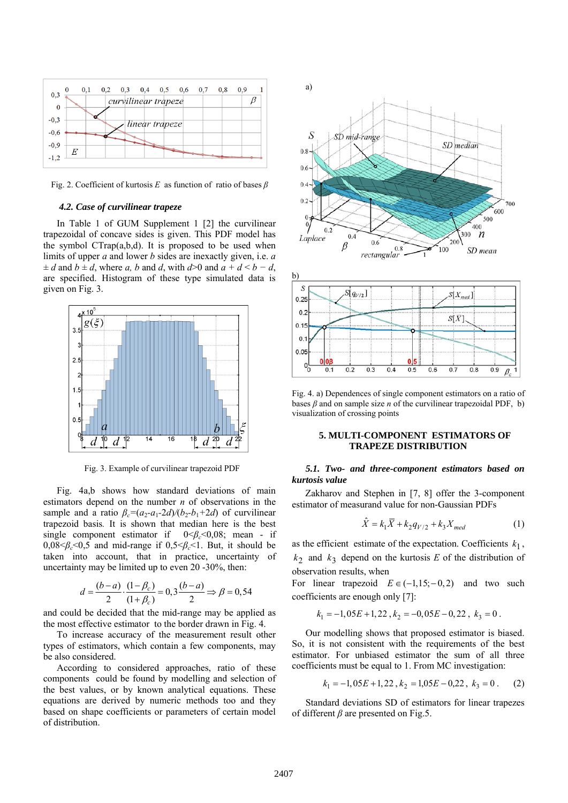

Fig. 2. Coefficient of kurtosis *E* as function of ratio of bases *β*

#### *4.2. Case of curvilinear trapeze*

In Table 1 of GUM Supplement 1 [2] the curvilinear trapezoidal of concave sides is given. This PDF model has the symbol CTrap(a,b,d). It is proposed to be used when limits of upper *a* and lower *b* sides are inexactly given, i.e. *a ± d* and *b ± d*, where *a, b* and *d*, with *d*>0 and *a + d* < *b − d*, are specified. Histogram of these type simulated data is given on Fig. 3.



Fig. 3. Example of curvilinear trapezoid PDF

Fig. 4a,b shows how standard deviations of main estimators depend on the number *n* of observations in the sample and a ratio  $\beta_c = (a_2-a_1-2d)/(b_2-b_1+2d)$  of curvilinear trapezoid basis*.* It is shown that median here is the best single component estimator if  $0 < \beta_c < 0.08$ ; mean - if  $0.08 \leq \beta_c \leq 0.5$  and mid-range if  $0.5 \leq \beta_c \leq 1$ . But, it should be taken into account, that in practice, uncertainty of uncertainty may be limited up to even 20 -30%, then:

$$
d = \frac{(b-a)}{2} \cdot \frac{(1-\beta_c)}{(1+\beta_c)} = 0, 3\frac{(b-a)}{2} \Rightarrow \beta = 0, 54
$$

and could be decided that the mid-range may be applied as the most effective estimator to the border drawn in Fig. 4.

To increase accuracy of the measurement result other types of estimators, which contain a few components, may be also considered.

According to considered approaches, ratio of these components could be found by modelling and selection of the best values, or by known analytical equations. These equations are derived by numeric methods too and they based on shape coefficients or parameters of certain model of distribution.





Fig. 4. a) Dependences of single component estimators on a ratio of bases  $\beta$  and on sample size *n* of the curvilinear trapezoidal PDF, b) visualization of crossing points

### **5. MULTI-COMPONENT ESTIMATORS OF TRAPEZE DISTRIBUTION**

## *5.1. Two- and three-component estimators based on kurtosis value*

Zakharov and Stephen in [7, 8] offer the 3-component estimator of measurand value for non-Gaussian PDFs

$$
\hat{X} = k_1 \overline{X} + k_2 q_{V/2} + k_3 X_{med}
$$
 (1)

as the efficient estimate of the expectation. Coefficients  $k_1$ ,  $k_2$  and  $k_3$  depend on the kurtosis *E* of the distribution of observation results, when

For linear trapezoid  $E \in (-1, 15; -0, 2)$  and two such coefficients are enough only [7]:

$$
k_1 = -1,05E + 1,22, k_2 = -0,05E - 0,22, k_3 = 0.
$$

Our modelling shows that proposed estimator is biased. So, it is not consistent with the requirements of the best estimator. For unbiased estimator the sum of all three coefficients must be equal to 1. From MC investigation:

$$
k_1 = -1,05E + 1,22, k_2 = 1,05E - 0,22, k_3 = 0.
$$
 (2)

Standard deviations SD of estimators for linear trapezes of different *β* are presented on Fig.5.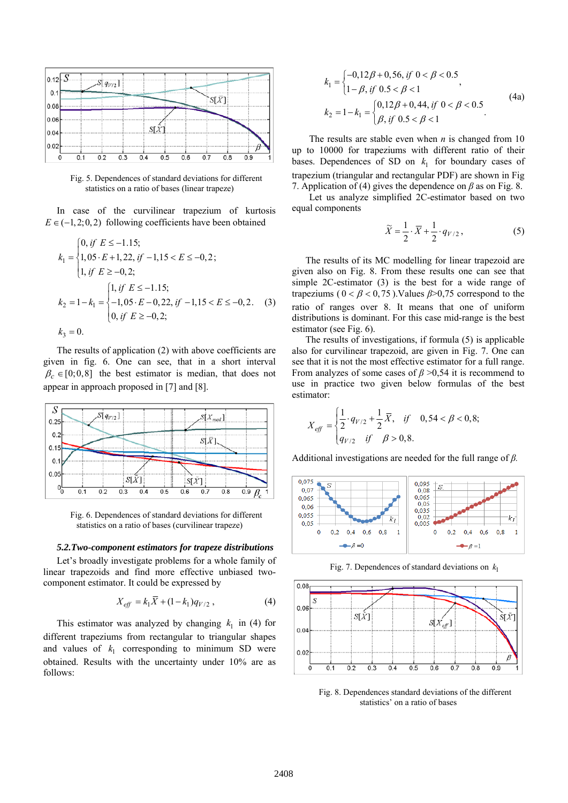

Fig. 5. Dependences of standard deviations for different statistics on a ratio of bases (linear trapeze)

In case of the curvilinear trapezium of kurtosis  $E \in (-1, 2, 0, 2)$  following coefficients have been obtained

$$
k_1 = \begin{cases} 0, \text{ if } E \le -1.15; \\ 1, 05 \cdot E + 1, 22, \text{ if } -1, 15 < E \le -0, 2; \\ 1, \text{ if } E \ge -0, 2; \end{cases}
$$
\n
$$
k_2 = 1 - k_1 = \begin{cases} 1, \text{ if } E \le -1.15; \\ -1, 05 \cdot E - 0, 22, \text{ if } -1, 15 < E \le -0, 2. \\ 0, \text{ if } E \ge -0, 2; \end{cases} \tag{3}
$$
\n
$$
k_3 = 0.
$$

The results of application (2) with above coefficients are given in fig. 6. One can see, that in a short interval  $\beta_c \in [0,0,8]$  the best estimator is median, that does not appear in approach proposed in [7] and [8].



Fig. 6. Dependences of standard deviations for different statistics on a ratio of bases (curvilinear trapeze)

#### *5.2.Two-component estimators for trapeze distributions*

Let's broadly investigate problems for a whole family of linear trapezoids and find more effective unbiased twocomponent estimator. It could be expressed by

$$
X_{\text{eff}} = k_1 \overline{X} + (1 - k_1) q_{V/2} , \qquad (4)
$$

This estimator was analyzed by changing  $k_1$  in (4) for different trapeziums from rectangular to triangular shapes and values of  $k_1$  corresponding to minimum SD were obtained. Results with the uncertainty under 10% are as follows:

$$
k_1 = \begin{cases} -0, 12\beta + 0, 56, if \ 0 < \beta < 0.5 \\ 1 - \beta, if \ 0.5 < \beta < 1 \end{cases},
$$
\n
$$
k_2 = 1 - k_1 = \begin{cases} 0, 12\beta + 0, 44, if \ 0 < \beta < 0.5 \\ \beta, if \ 0.5 < \beta < 1 \end{cases} \tag{4a}
$$

The results are stable even when *n* is changed from 10 up to 10000 for trapeziums with different ratio of their bases. Dependences of SD on  $k_1$  for boundary cases of trapezium (triangular and rectangular PDF) are shown in Fig 7. Application of (4) gives the dependence on *β* as on Fig. 8.

Let us analyze simplified 2C-estimator based on two equal components

$$
\widetilde{X} = \frac{1}{2} \cdot \overline{X} + \frac{1}{2} \cdot q_{V/2},
$$
\n(5)

The results of its MC modelling for linear trapezoid are given also on Fig. 8. From these results one can see that simple 2C-estimator (3) is the best for a wide range of trapeziums ( $0 < \beta < 0.75$ ). Values  $\beta > 0.75$  correspond to the ratio of ranges over 8. It means that one of uniform distributions is dominant. For this case mid-range is the best estimator (see Fig. 6).

The results of investigations, if formula (5) is applicable also for curvilinear trapezoid, are given in Fig. 7. One can see that it is not the most effective estimator for a full range. From analyzes of some cases of  $\beta > 0.54$  it is recommend to use in practice two given below formulas of the best estimator:

$$
X_{\text{eff}} = \begin{cases} \frac{1}{2} \cdot q_{V/2} + \frac{1}{2} \overline{X}, & \text{if } 0, 54 < \beta < 0, 8; \\ q_{V/2} & \text{if } \beta > 0, 8. \end{cases}
$$

Additional investigations are needed for the full range of *β.*



Fig. 7. Dependences of standard deviations on  $k_1$ 



Fig. 8. Dependences standard deviations of the different statistics' on a ratio of bases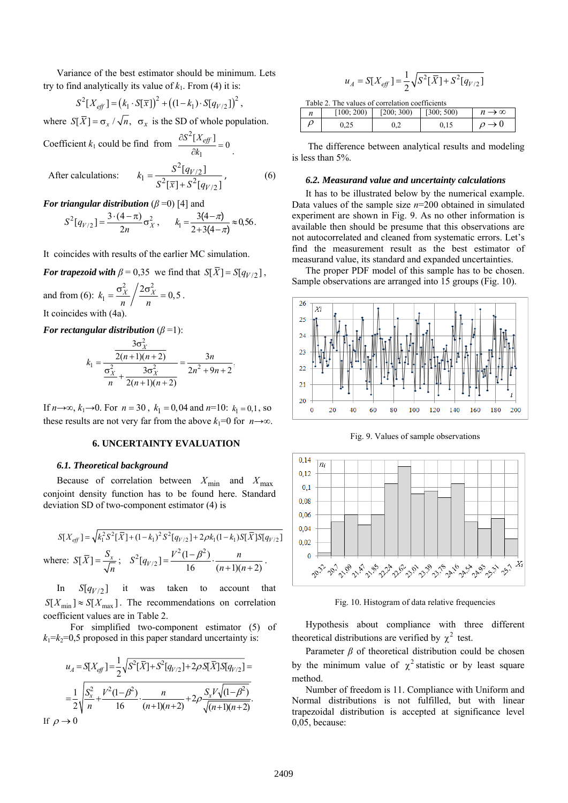Variance of the best estimator should be minimum. Lets try to find analytically its value of  $k_1$ . From (4) it is:

$$
S^{2}[X_{\text{eff}}] = (k_{1} \cdot S[\overline{x}])^{2} + ((1 - k_{1}) \cdot S[q_{V/2}])^{2},
$$

where  $S[\overline{X}] = \sigma_r / \sqrt{n}$ ,  $\sigma_x$  is the SD of whole population.

Coefficient  $k_1$  could be find from 2 1  $\frac{\partial S^2[X_{\text{eff}}]}{\partial k_1} = 0$ 

After calculations:

$$
k_1 = \frac{S^2 [q_{V/2}]}{S^2 [\bar{x}] + S^2 [q_{V/2}]} \,, \tag{6}
$$

*For triangular distribution*  $(\beta = 0)$  [4] and

$$
S^{2}[q_{V/2}] = \frac{3 \cdot (4 - \pi)}{2n} \sigma_{X}^{2}, \qquad k_{1} = \frac{3(4 - \pi)}{2 + 3(4 - \pi)} \approx 0.56.
$$

It coincides with results of the earlier MC simulation.

*For trapezoid with*  $\beta = 0.35$  we find that  $S[\bar{X}] = S[q_{V/2}]$ ,

and from (6): 2  $\sqrt{2}$  $k_1 = \frac{\sigma_X^2}{n} / \frac{2\sigma_X^2}{n} = 0, 5$ .

It coincides with  $(4a)$ .

*For rectangular distribution*  $(\beta = 1)$ :

$$
k_1 = \frac{\frac{3\sigma_X^2}{2(n+1)(n+2)}}{\frac{\sigma_X^2}{n} + \frac{3\sigma_X^2}{2(n+1)(n+2)}} = \frac{3n}{2n^2 + 9n + 2}
$$

If *n*→∞,  $k_1$ →0. For *n* = 30,  $k_1$  = 0,04 and *n*=10:  $k_1$  = 0,1, so these results are not very far from the above  $k_1=0$  for  $n \rightarrow \infty$ .

# **6. UNCERTAINTY EVALUATION**

# *6.1. Theoretical background*

Because of correlation between  $X_{\text{min}}$  and  $X_{\text{max}}$ conjoint density function has to be found here. Standard deviation SD of two-component estimator (4) is

$$
S[X_{\text{eff}}] = \sqrt{k_1^2 S^2 [\bar{X}] + (1 - k_1)^2 S^2 [q_{V/2}] + 2\rho k_1 (1 - k_1) S [\bar{X}] S [q_{V/2}]}
$$
  
where: 
$$
S[\bar{X}] = \frac{S_x}{\sqrt{n}}; \quad S^2 [q_{V/2}] = \frac{V^2 (1 - \beta^2)}{16} \cdot \frac{n}{(n+1)(n+2)}.
$$

In  $S[q_{V/2}]$  it was taken to account that  $S[X_{\min}] \approx S[X_{\max}]$ . The recommendations on correlation coefficient values are in Table 2.

 For simplified two-component estimator (5) of  $k_1=k_2=0.5$  proposed in this paper standard uncertainty is:

$$
u_A = S[X_{\text{eff}}] = \frac{1}{2} \sqrt{S^2[\bar{X}] + S^2[q_{V/2}] + 2\rho S[\bar{X}]S[q_{V/2}]} =
$$
  
= 
$$
\frac{1}{2} \sqrt{\frac{S_x^2}{n} + \frac{V^2(1-\beta^2)}{16} \cdot \frac{n}{(n+1)(n+2)}} + 2\rho \frac{S_x V \sqrt{(1-\beta^2)}}{\sqrt{(n+1)(n+2)}}.
$$
  
If  $\rho \to 0$ 

$$
u_A = S[X_{\text{eff}}] = \frac{1}{2} \sqrt{S^2[\bar{X}] + S^2[q_{V/2}]}
$$

| Table 2. The values of correlation coefficients |  |
|-------------------------------------------------|--|

| [100; 200) | [200; 300) | [300; 500) | $\rightarrow \infty$ |
|------------|------------|------------|----------------------|
| 0.25       |            |            |                      |

 The difference between analytical results and modeling is less than 5%.

#### *6.2. Measurand value and uncertainty calculations*

It has to be illustrated below by the numerical example. Data values of the sample size *n*=200 obtained in simulated experiment are shown in Fig. 9. As no other information is available then should be presume that this observations are not autocorrelated and cleaned from systematic errors. Let's find the measurement result as the best estimator of measurand value, its standard and expanded uncertainties.

The proper PDF model of this sample has to be chosen. Sample observations are arranged into 15 groups (Fig. 10).



Fig. 9. Values of sample observations



Fig. 10. Histogram of data relative frequencies

Hypothesis about compliance with three different theoretical distributions are verified by  $\chi^2$  test.

Parameter  $\beta$  of theoretical distribution could be chosen by the minimum value of  $\chi^2$  statistic or by least square method.

Number of freedom is 11. Compliance with Uniform and Normal distributions is not fulfilled, but with linear trapezoidal distribution is accepted at significance level 0,05, because: